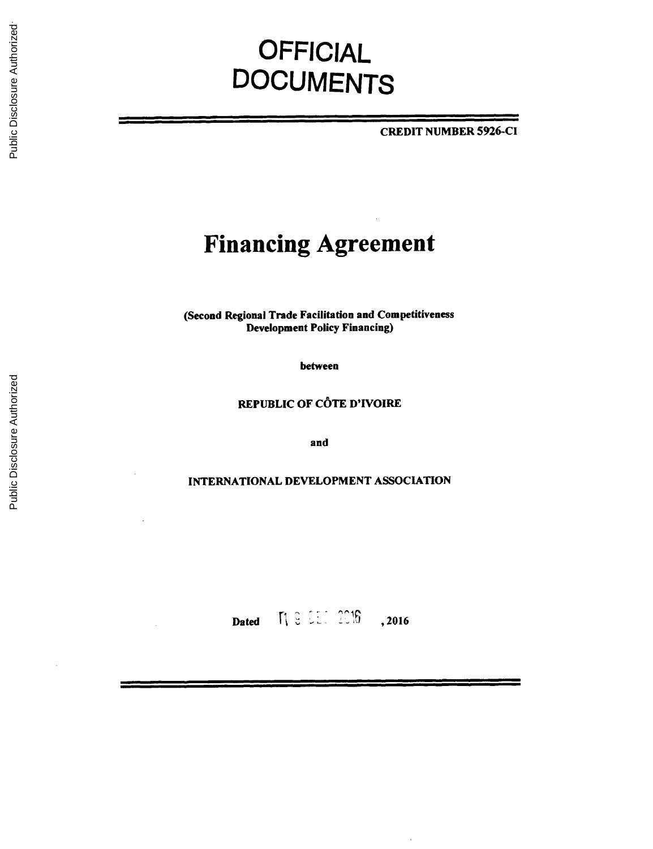# **OFFICIAL DOCUMENTS**

CREDIT **NUMBER 5926-Cl**

# **Financing Agreement**

(Second Regional Trade Facilitation and Competitiveness Development Policy Financing)

between

REPUBLIC OF **C6TE** D'IVOIRE

and

**INTERNATIONAL DEVELOPMENT ASSOCIATION**

**Dated**  $\begin{bmatrix} 1 & 3 & 2 & 1 \\ 0 & 0 & 0 \\ 0 & 0 & 0 \end{bmatrix}$  , 201

 $\cdot$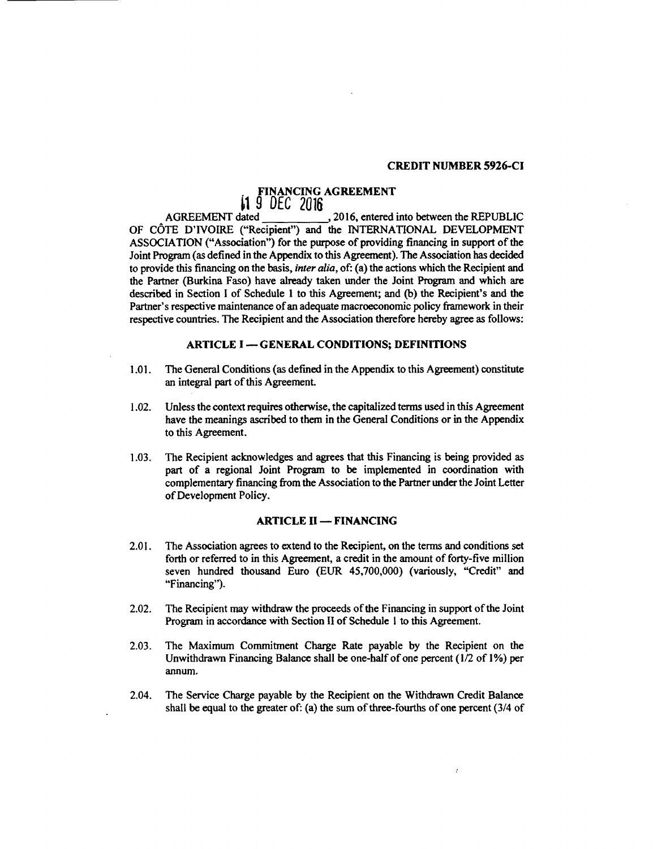#### **CREDIT NUMBER 5926-Cl**

# **FINANCING AGREEMENT**

**1 9 DEC 2016**<br>AGREEMENT dated , 2016, entered into between the REPUBLIC OF **C^)TE** D'IVOIRE ("Recipient") and the INTERNATIONAL **DEVELOPMENT ASSOCIATION** ("Association") for the purpose of providing financing in support of the Joint Program (as defined in the Appendix to this Agreement). The Association has decided to provide this financing on the basis, *inter alia,* of: (a) the actions which the Recipient and the Partner (Burkina Faso) have already taken under the Joint Program and which are described in Section **I** of Schedule **I** to this Agreement; and **(b)** the Recipient's and the Partner's respective maintenance of an adequate macroeconomic policy framework in their respective countries. The Recipient and the Association therefore hereby agree as follows:

#### **ARTICLE I - GENERAL CONDITIONS; DEFINITIONS**

- **1.01.** The General Conditions (as defined in the Appendix to this Agreement) constitute an integral part of this Agreement.
- 1.02. Unless the context requires otherwise, the capitalized terms used in this Agreement have the meanings ascribed to them in the General Conditions or in the Appendix to this Agreement.
- **1.03.** The Recipient acknowledges and agrees that this Financing is being provided as part of a regional Joint Program to be implemented in coordination with complementary financing from the Association to the Partner under the Joint Letter of Development Policy.

# **ARTICLE II - FINANCING**

- 2.01. The Association agrees to extend to the Recipient, on the terms and conditions set forth or referred to in this Agreement, a credit in the amount of forty-five million seven hundred thousand Euro **(EUR** 45,700,000) (variously, "Credit" and "Financing").
- 2.02. The Recipient may withdraw the proceeds of the Financing in support of the Joint Program in accordance with Section II of Schedule **I** to this Agreement.
- **2.03.** The Maximum Commitment Charge Rate payable **by** the Recipient on the Unwithdrawn Financing Balance shall be one-half of one percent **(1/2** of **1%)** per annum.
- 2.04. The Service Charge payable **by** the Recipient on the Withdrawn Credit Balance shall be equal to the greater of: (a) the sum of three-fourths of one percent (3/4 of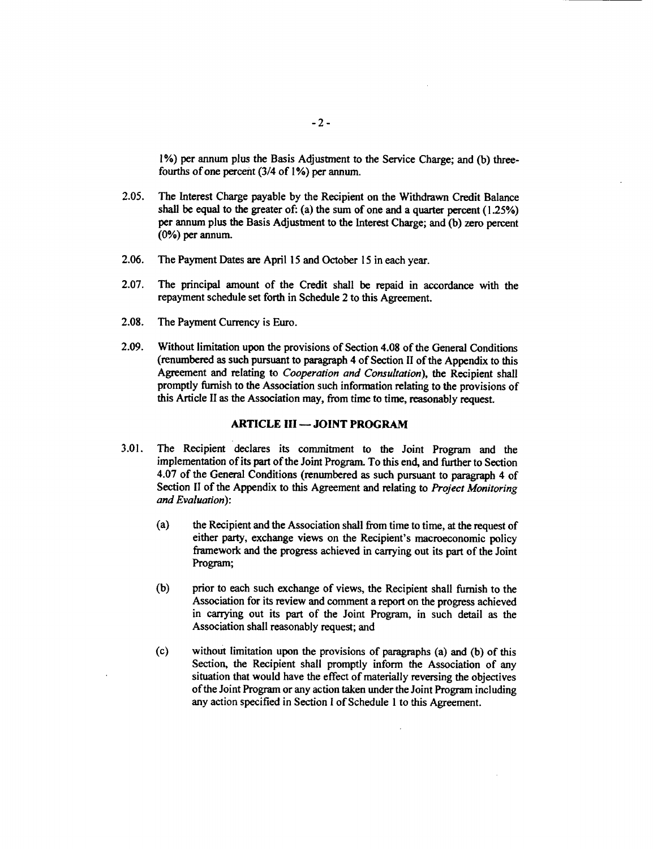**1%)** per annum plus the Basis Adjustment to the Service Charge; and **(b)** threefourths of one percent (3/4 of **1%)** per annum.

- *2.05.* The Interest Charge payable **by** the Recipient on the Withdrawn Credit Balance shall be equal to the greater of: (a) the sum of one and a quarter percent (1.25%) per annum plus the Basis Adjustment to the Interest Charge; and **(b)** zero percent **(0%)** per annum.
- **2.06.** The Payment Dates are April **15** and October **15** in each year.
- **2.07.** The principal amount of the Credit shall be repaid in accordance with the repayment schedule set forth in Schedule 2 to this Agreement.
- **2.08.** The Payment Currency is Euro.
- **2.09.** Without limitation upon the provisions of Section 4.08 of the General Conditions (renumbered as such pursuant to paragraph 4 of Section II of the Appendix to this Agreement and relating to *Cooperation and Consultation),* the Recipient shall promptly furnish to the Association such information relating to the provisions of this Article II as the Association may, from time to time, reasonably request.

#### **ARTICLE III - JOINT PROGRAM**

- **3.01.** The Recipient declares its commitment to the Joint Program and the implementation of its part of the Joint Program. To this end, and further to Section 4.07 of the General Conditions (renumbered as such pursuant to paragraph 4 of Section II of the Appendix to this Agreement and relating to *Project Monitoring and Evaluation):*
	- (a) the Recipient and the Association shall from time to time, at the request of either party, exchange views on the Recipient's macroeconomic policy framework and the progress achieved in carrying out its part of the Joint Program;
	- **(b)** prior to each such exchange of views, the Recipient shall furnish to the Association for its review and comment a report on the progress achieved in carrying out its part of the Joint Program, in such detail as the Association shall reasonably request; and
	- **(c)** without limitation upon the provisions of paragraphs (a) and **(b)** of this Section, the Recipient shall promptly inform the Association of any situation that would have the effect of materially reversing the objectives of the Joint Program or any action taken under the Joint Program including any action specified in Section **I** of Schedule **I** to this Agreement.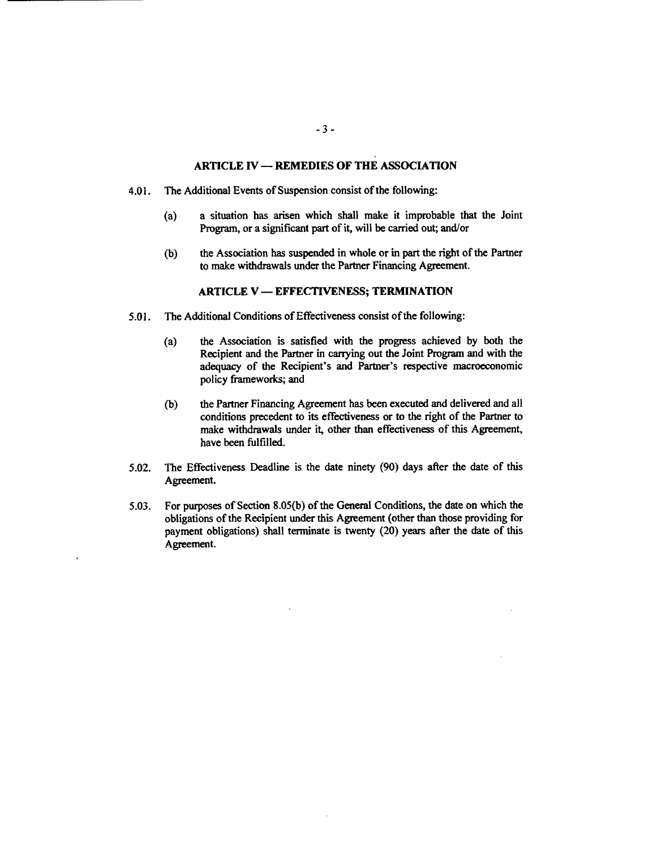# **ARTICLE IV - REMEDIES OF THE ASSOCIATION**

- 4.01. The Additional Events of Suspension consist of the following:
	- (a) a situation has arisen which shall make it improbable that the Joint Program, or a significant part of it, will be carried out; and/or
	- **(b)** the Association has suspended in whole or in part the right of the Partner to make withdrawals under the Partner Financing Agreement.

#### ARTICLE V **- EFFECTIVENESS; TERMINATION**

- **5.01.** The Additional Conditions of Effectiveness consist of the following:
	- (a) the Association is satisfied with the progress achieved **by** both the Recipient and the Partner in carrying out the Joint Program and with the adequacy of the Recipient's and Partner's respective macroeconomic policy frameworks; and
	- **(b)** the Partner Financing Agreement has been executed and delivered and all conditions precedent to its effectiveness or to the right of the Partner to make withdrawals under it, other than effectiveness of this Agreement, have been fulfilled.
- **5.02.** The Effectiveness Deadline is the date ninety **(90)** days after the date of this Agreement.
- *5.03.* For purposes of Section **8.05(b)** of the General Conditions, the date on which the obligations of the Recipient under this Agreement (other than those providing for payment obligations) shall terminate is twenty (20) years after the date of this Agreement.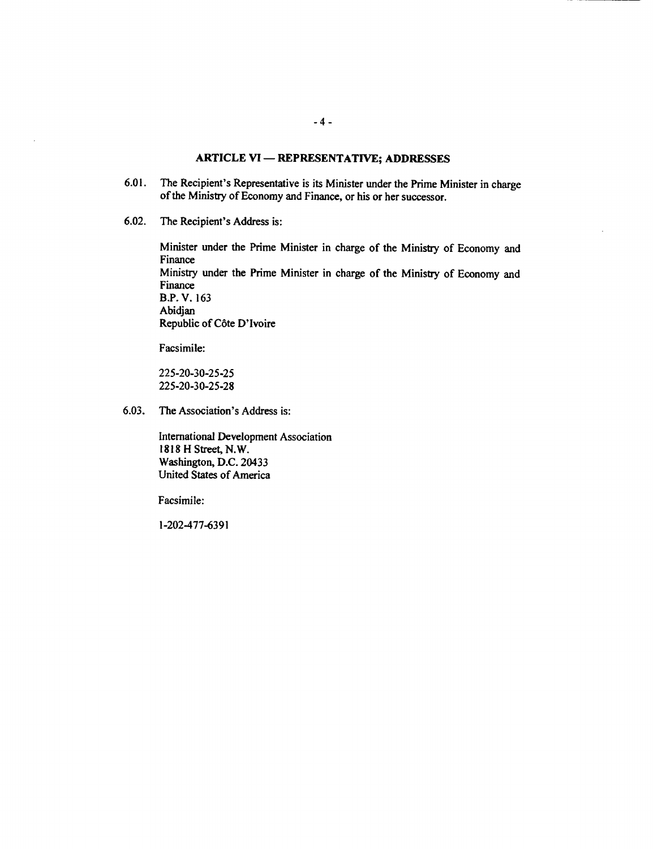# **ARTICLE VI - REPRESENTATIVE; ADDRESSES**

- **6.01.** The Recipient's Representative is its Minister under the Prime Minister in charge of the Ministry of Economy and Finance, or his or her successor.
- **6.02.** The Recipient's Address is:

Minister under the Prime Minister in charge of the Ministry of Economy and Finance Ministry under the Prime Minister in charge of the Ministry of Economy and Finance B.P. V. **163** Abidjan Republic of Côte D'Ivoire

Facsimile:

**225-20-30-25-25 225-20-30-25-28**

**6.03.** The Association's Address is:

International Development Association **1818** H Street, N.W. Washington, **D.C.** 20433 United States of America

Facsimile:

**1-202-477-6391**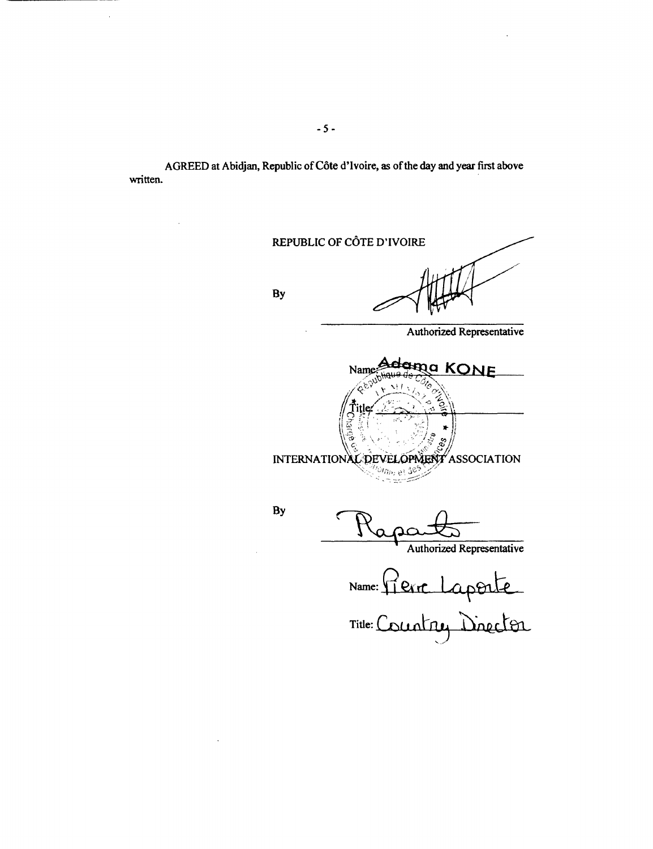AGREED at Abidjan, Republic of Côte d'Ivoire, as of the day and year first above written.

REPUBLIC OF C6TE D'IVOIRE By Authorized Representative Name. **Adama KONE**  $I \leftrightarrow \infty$ **INTERNATION AL DEVELOPMENT ASSOCIATION By** Authorized Representative Name: Terr Laporte

Title: **(-1 -n1** nA P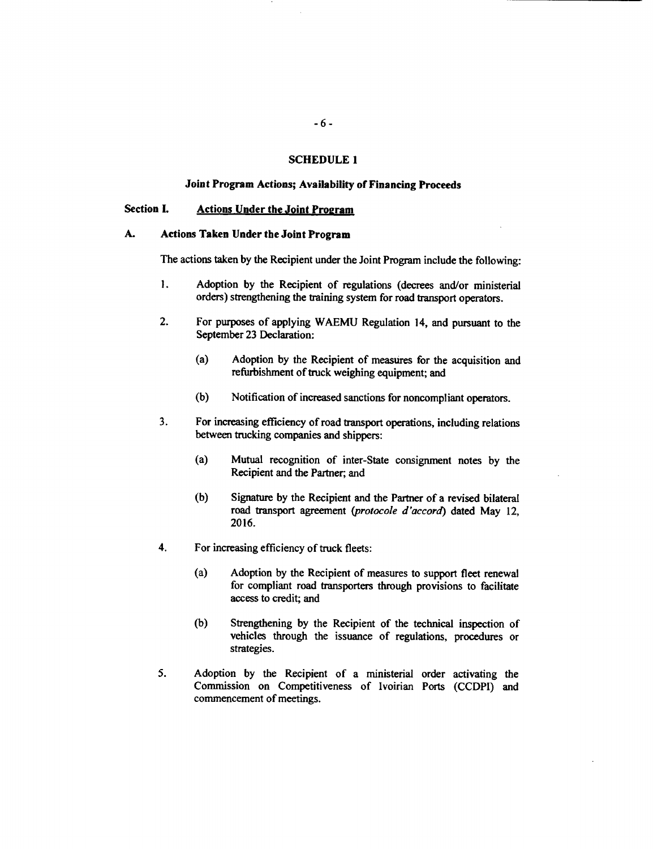### **SCHEDULE 1**

#### **Joint Program Actions; Availability of Financing Proceeds**

# **Section I. Actions Under the Joint Program**

# **A. Actions Taken Under the Joint Program**

**The** actions taken **by** the Recipient under the Joint Program include the following:

- **I. Adoption by** the Recipient of regulations (decrees and/or ministerial orders) strengthening the training system for road transport operators.
- 2. For purposes of applying **WAEMU** Regulation 14, and pursuant to the September **23** Declaration:
	- (a) Adoption **by** the Recipient of measures for the acquisition and refurbishment of truck weighing equipment; and
	- **(b)** Notification of increased sanctions for noncompliant operators.
- **3.** For increasing efficiency of road transport operations, including relations between trucking companies and shippers:
	- (a) Mutual recognition of inter-State consignment notes **by** the Recipient and the Partner; and
	- **(b)** Signature **by** the Recipient and the Partner of a revised bilateral road transport agreement *(protocole d'accord)* dated May 12, **2016.**
- 4. For increasing efficiency of truck fleets:
	- (a) Adoption **by** the Recipient of measures to support fleet renewal for compliant road transporters through provisions to facilitate access to credit; and
	- **(b)** Strengthening **by** the Recipient of the technical inspection of vehicles through the issuance of regulations, procedures or strategies.
- *5.* Adoption **by** the Recipient of a ministerial order activating the Commission on Competitiveness of Ivoirian Ports **(CCDPI)** and commencement of meetings.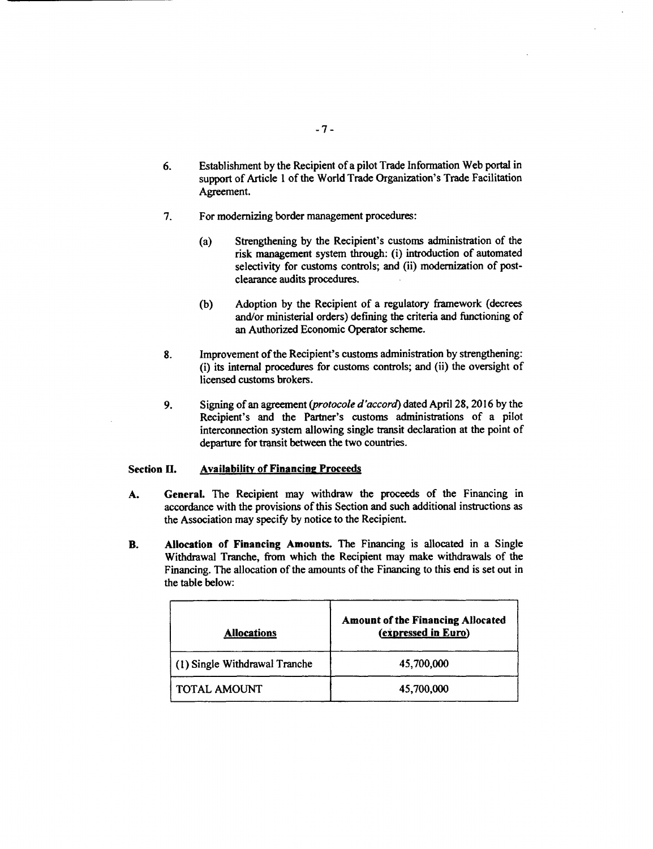- **6.** Establishment **by** the Recipient of a pilot Trade Information Web portal in support of Article **I** of the World Trade Organization's Trade Facilitation Agreement.
- **7.** For modernizing border management procedures:
	- (a) Strengthening **by** the Recipient's customs administration of the risk management system through: (i) introduction of automated selectivity for customs controls; and (ii) modernization of postclearance audits procedures.
	- **(b)** Adoption **by** the Recipient of a regulatory framework (decrees and/or ministerial orders) defining the criteria and functioning of an Authorized Economic Operator scheme.
- **8.** Improvement of the Recipient's customs administration **by** strengthening: (i) its internal procedures for customs controls; and (ii) the oversight of licensed customs brokers.
- **9.** Signing of an agreement *(protocole d'accord)* dated April **28, 2016 by** the Recipient's and the Partner's customs administrations of a pilot interconnection system allowing single transit declaration at the point of departure for transit between the two countries.

# Section **II. Availability of Financing Proceeds**

- **A.** General. The Recipient may withdraw the proceeds of the Financing in accordance with the provisions of this Section and such additional instructions as the Association may specify **by** notice to the Recipient.
- B. Allocation of Financing Amounts. The Financing is allocated in a Single Withdrawal Tranche, from which the Recipient may make withdrawals of the Financing. The allocation of the amounts of the Financing to this end is set out in the table below:

| <b>Allocations</b>            | <b>Amount of the Financing Allocated</b><br>(expressed in Euro) |
|-------------------------------|-----------------------------------------------------------------|
| (1) Single Withdrawal Tranche | 45,700,000                                                      |
| TOTAL AMOUNT                  | 45,700,000                                                      |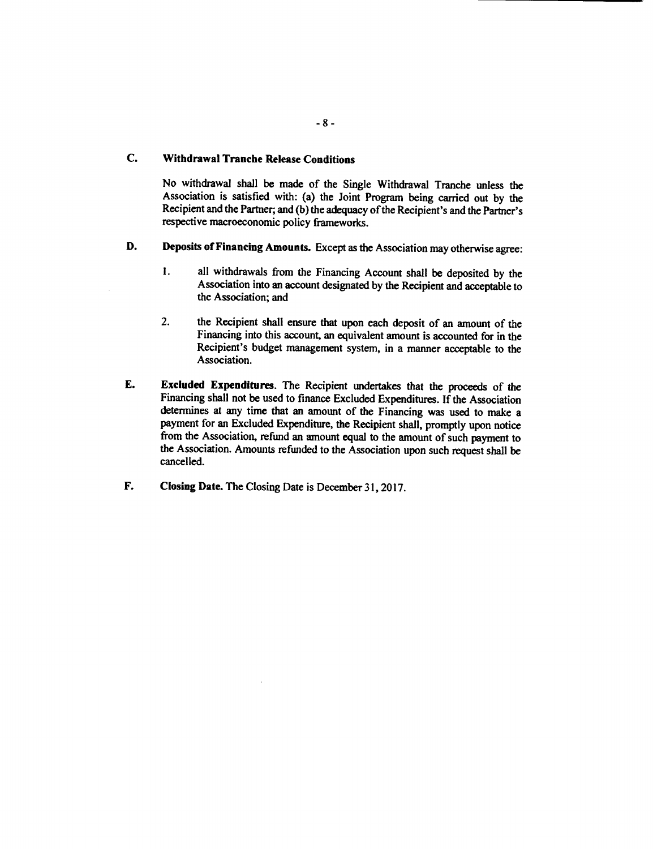# **C. Withdrawal Tranche Release Conditions**

No withdrawal shall be made of the Single Withdrawal Tranche unless the Association is satisfied with: (a) the Joint Program being carried out **by** the Recipient and the Partner; and **(b)** the adequacy of the Recipient's and the Partner's respective macroeconomic policy frameworks.

- **D.** Deposits **of Financing** Amounts. Except as the Association may otherwise agree:
	- 1. all withdrawals from the Financing Account shall be deposited **by** the Association into an account designated **by** the Recipient and acceptable to the Association; and
	- 2. the Recipient shall ensure that upon each deposit of an amount of the Financing into this account, an equivalent amount is accounted for in the Recipient's budget management system, in a manner acceptable to the Association.
- **E. Excluded** Expenditures. The Recipient undertakes that the proceeds of the Financing shall not be used to finance Excluded Expenditures. **If** the Association determines at any time that an amount of the Financing was used to make a payment for an Excluded Expenditure, the Recipient shall, promptly upon notice from the Association, refund an amount equal to the amount of such payment to the Association. Amounts refunded to the Association upon such request shall be cancelled.
- F. Closing Date. The Closing Date is December **31, 2017.**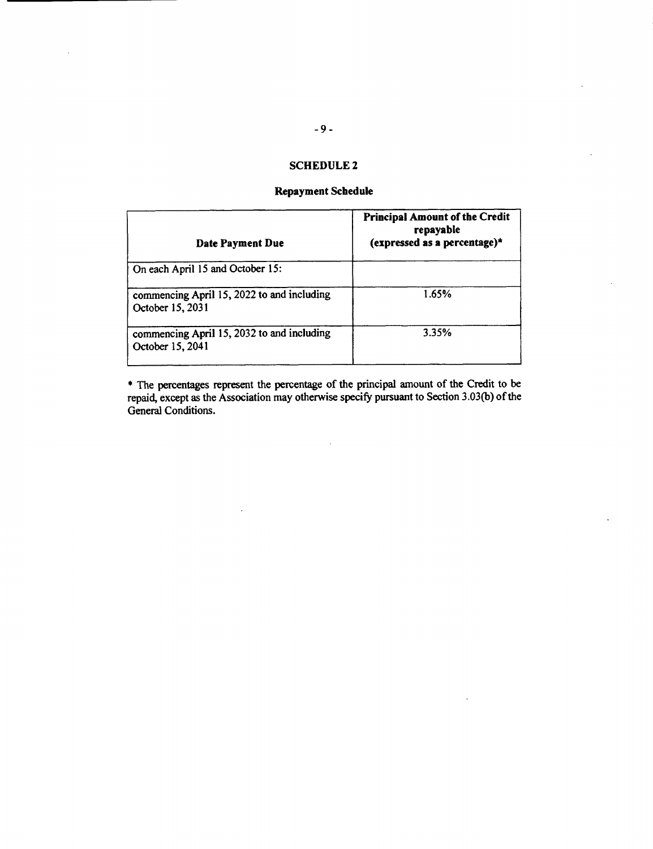# **SCHEDULE 2**

# **Repayment Schedule**

| <b>Date Payment Due</b>                                        | <b>Principal Amount of the Credit</b><br>repayable<br>(expressed as a percentage)* |
|----------------------------------------------------------------|------------------------------------------------------------------------------------|
| On each April 15 and October 15:                               |                                                                                    |
| commencing April 15, 2022 to and including<br>October 15, 2031 | 1.65%                                                                              |
| commencing April 15, 2032 to and including<br>October 15, 2041 | 3.35%                                                                              |

\* The percentages represent the percentage of the principal amount of the Credit to be repaid, except as the Association may otherwise specify pursuant to Section **3.03(b)** of the General Conditions.

 $\mathcal{L}_{\mathcal{L}}$ 

 $\ddot{\phantom{a}}$ 

 $\bar{z}$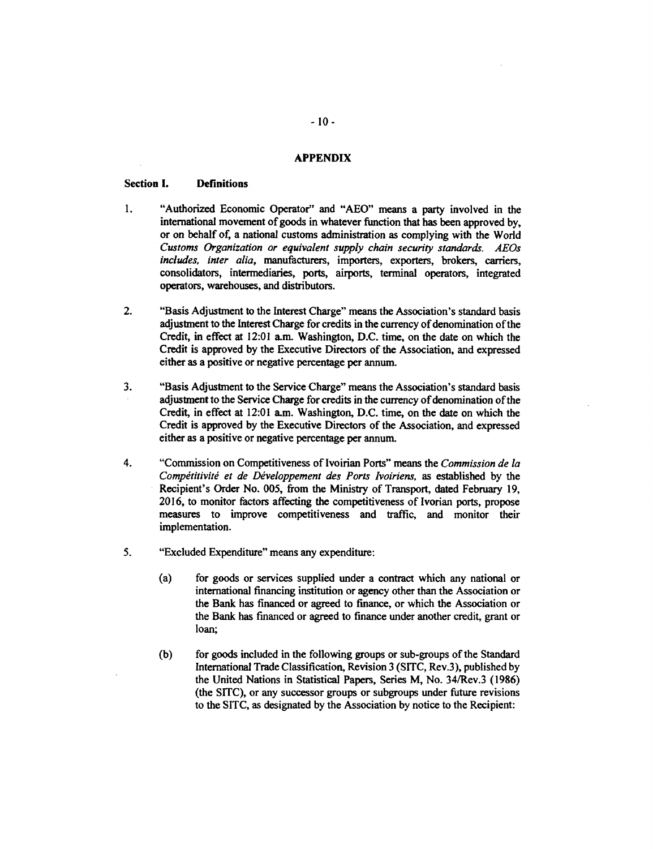#### **APPENDIX**

#### Section **I.** Definitions

- **1.** "Authorized Economic Operator" and **"AEO"** means a party involved in the international movement of goods in whatever finction that has been approved **by,** or on behalf of, a national customs administration as complying with the World *Customs Organization or equivalent supply chain security standards. AEOs includes, inter alia,* manufacturers, importers, exporters, brokers, carriers, consolidators, intermediaries, ports, airports, terminal operators, integrated operators, warehouses, and distributors.
- 2. "Basis Adjustment to the Interest Charge" means the Association's standard basis adjustment to the Interest Charge for credits in the currency of denomination of the Credit, in effect at 12:01 a.m. Washington, **D.C.** time, on the date on which the Credit is approved **by** the Executive Directors of the Association, and expressed either as a positive or negative percentage per annum.
- **3.** "Basis Adjustment to the Service Charge" means the Association's standard basis adjustment to the Service Charge for credits in the currency of denomination of the Credit, in effect at 12:01 a.m. Washington, **D.C.** time, on the date on which the Credit is approved **by** the Executive Directors of the Association, and expressed either as a positive or negative percentage per annum.
- 4. "Commission on Competitiveness of Ivoirian Ports" means the *Commission de la Compétitivité et de Développement des Ports Ivoiriens, as established by the* Recipient's Order No. **005,** from the Ministry of Transport, dated February **19, 2016,** to monitor factors affecting the competitiveness of Ivorian ports, propose measures to improve competitiveness and traffic, and monitor their implementation.
- *5.* "Excluded Expenditure" means any expenditure:
	- (a) for goods or services supplied under a contract which any national or international financing institution or agency other than the Association or the Bank has financed or agreed to finance, or which the Association or the Bank has financed or agreed to finance under another credit, grant or loan;
	- **(b)** for goods included in the following groups or sub-groups of the Standard International Trade Classification, Revision **3 (SITC,** Rev.3), published **by** the United Nations in Statistical Papers, Series M, No. 34/Rev.3 **(1986)** (the SITC), or any successor groups or subgroups under future revisions to the **SITC,** as designated **by** the Association **by** notice to the Recipient: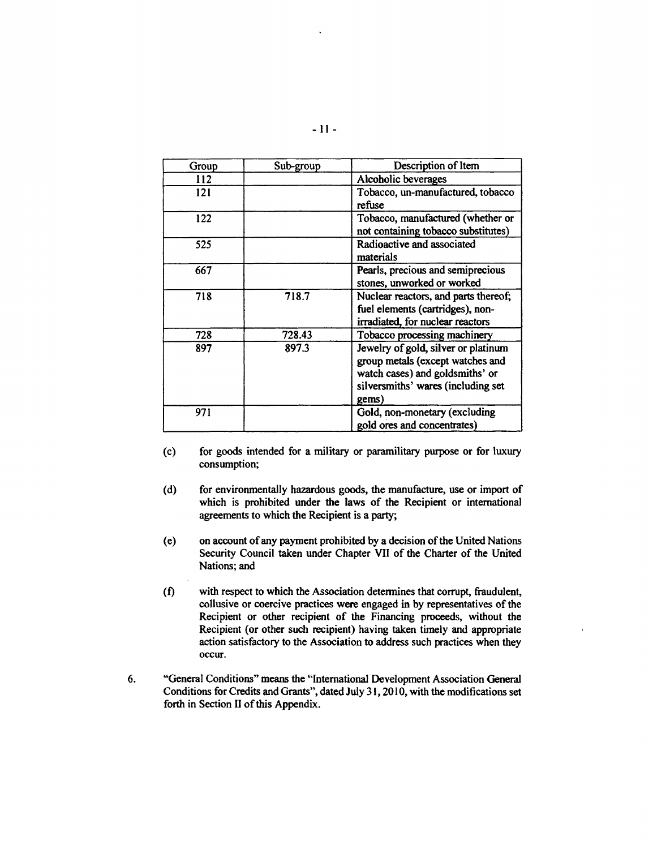| Group | Sub-group | Description of Item                                                                                                                                       |
|-------|-----------|-----------------------------------------------------------------------------------------------------------------------------------------------------------|
| 112   |           | Alcoholic beverages                                                                                                                                       |
| 121   |           | Tobacco, un-manufactured, tobacco<br>refuse                                                                                                               |
| 122   |           | Tobacco, manufactured (whether or<br>not containing tobacco substitutes)                                                                                  |
| 525   |           | Radioactive and associated<br>materials                                                                                                                   |
| 667   |           | Pearls, precious and semiprecious<br>stones, unworked or worked                                                                                           |
| 718   | 718.7     | Nuclear reactors, and parts thereof;<br>fuel elements (cartridges), non-<br>irradiated, for nuclear reactors                                              |
| 728   | 728.43    | Tobacco processing machinery                                                                                                                              |
| 897   | 897.3     | Jewelry of gold, silver or platinum<br>group metals (except watches and<br>watch cases) and goldsmiths' or<br>silversmiths' wares (including set<br>gems) |
| 971   |           | Gold, non-monetary (excluding<br>gold ores and concentrates)                                                                                              |

- (c) for goods intended for a military or paramilitary purpose or for luxury consumption;
- **(d)** for environmentally hazardous goods, the manufacture, use or import of which is prohibited under the laws of the Recipient or international agreements to which the Recipient is a party;
- (e) on account of any payment prohibited **by** a decision of the United Nations Security Council taken under Chapter VII of the Charter of the United Nations; and
- **(f)** with respect to which the Association determines that corrupt, fraudulent, collusive or coercive practices were engaged in **by** representatives of the Recipient or other recipient of the Financing proceeds, without the Recipient (or other such recipient) having taken timely and appropriate action satisfactory to the Association to address such practices when they occur.
- **6.** "General Conditions" means the "International Development Association General Conditions for Credits and Grants", dated July **31, 2010,** with the modifications set forth in Section II of this Appendix.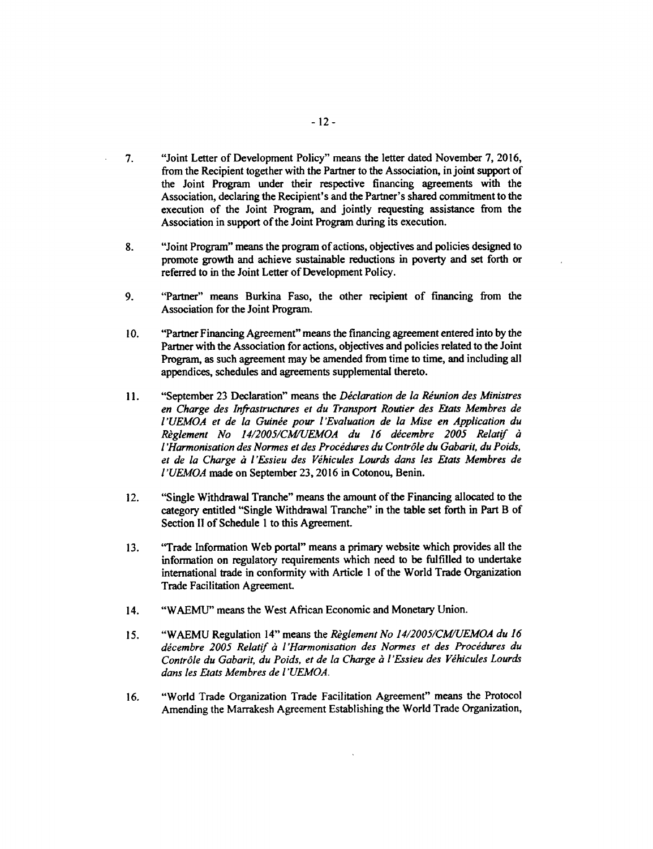- **7.** "Joint Letter of Development Policy" means the letter dated November **7, 2016,** from the Recipient together with the Partner to the Association, in joint support of the Joint Program under their respective financing agreements with the Association, declaring the Recipient's and the Partner's shared commitment to the execution of the Joint Program, and jointly requesting assistance from the Association in support of the Joint Program during its execution.
- **8.** "Joint Program" means the program of actions, objectives and policies designed to promote growth and achieve sustainable reductions in poverty and set forth or referred to in the Joint Letter of Development Policy.
- **9.** "Partner" means Burkina Faso, the other recipient of financing from the Association for the Joint Program.
- **10.** "Partner Financing Agreement" means the financing agreement entered into **by** the Partner with the Association for actions, objectives and policies related to the Joint Program, as such agreement may be amended from time to time, and including all appendices, schedules and agreements supplemental thereto.
- 11. **"September 23 Declaration" means the Déclaration de la Réunion des Ministres** *en Charge des Infrastructures et du Transport Routier des Etats Membres de l'UEMOA et de la Guinde pour l'Evaluation de la Mise en Application du Riglement No 14/2005/CM/UEMOA du 16 dicembre 2005 Relatif 6 l'armonisation des Normes et des Procidures du Contr6le du Gabarit, du Poids,* et de la Charge à l'Essieu des Véhicules Lourds dans les Etats Membres de *l'UEMOA* made on September **23, 2016** in Cotonou, Benin.
- 12. "Single Withdrawal Tranche" means the amount of the Financing allocated to the category entitled "Single Withdrawal Tranche" in the table set forth in Part B of Section II of Schedule **I** to this Agreement.
- **13.** "Trade Information Web portal" means a primary website which provides all the information on regulatory requirements which need to be fulfilled to undertake international trade in conformity with Article **I** of the World Trade Organization Trade Facilitation Agreement
- 14. **"WAEMU"** means the West African Economic and Monetary Union.
- *15.* **"WAEMU** Regulation 14" means the *Riglement No 14/2005/CM/UEMOA du 16 dicembre 2005 Relatif* a *l'Harmonisation des Normes et des Procidures du* Contrôle du Gabarit, du Poids, et de la Charge à l'Essieu des Véhicules Lourds *dans les Etats Membres de l'UEMOA.*
- *16.* "World Trade Organization Trade Facilitation Agreement" means the Protocol Amending the Marrakesh Agreement Establishing the World Trade Organization,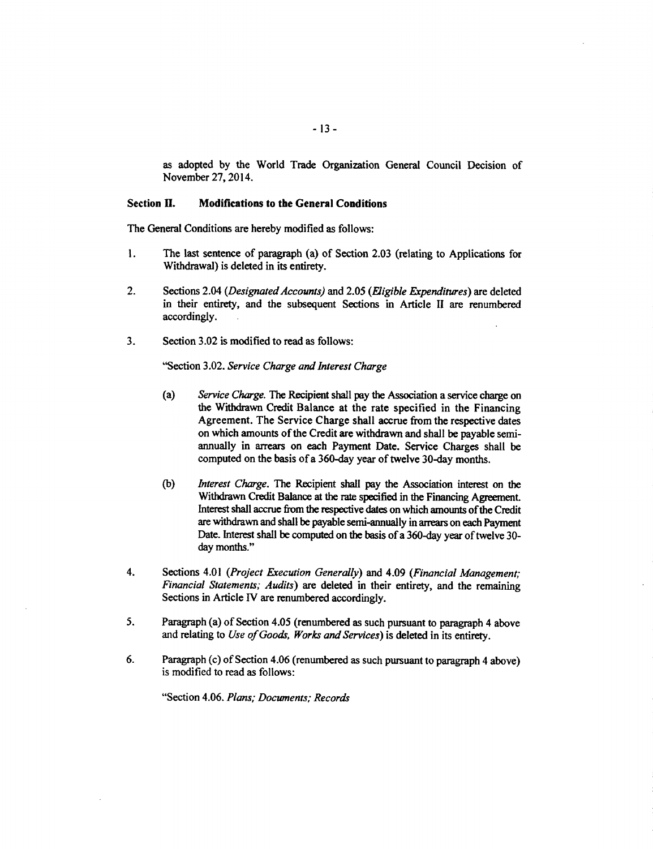as adopted **by** the World Trade Organization General Council Decision **of** November 27, 2014.

# Section **II.** Modifications to the General Conditions

The General Conditions are hereby modified as follows:

- 1. The last sentence of paragraph (a) of Section **2.03** (relating to Applications for Withdrawal) is deleted in its entirety.
- 2. Sections 2.04 *(Designated Accounts)* and **2.05** *(Figible Expenditures)* are deleted in their entirety, and the subsequent Sections in Article II are renumbered accordingly.
- **3.** Section **3.02** is modified to read as follows:

"Section **3.02.** *Service Charge and Interest Charge*

- (a) *Service Charge.* The Recipient shall pay the Association a service charge on the Withdrawn Credit Balance at the rate specified in the Financing Agreement. The Service Charge shall accrue from the respective dates on which amounts of the Credit are withdrawn and shall be payable semiannually in arrears on each Payment Date. Service Charges shall be computed on the basis of a 360-day year of twelve 30-day months.
- **(b)** *Interest Charge.* The Recipient shall pay the Association interest on the Withdrawn Credit Balance at the rate specified in the Financing Agreement. Interest shall accrue from the respective dates on which amounts of the Credit are withdrawn and shall be payable semi-annually in arrears on each Payment Date. Interest shall be computed on the basis of a 360-day year of twelve **30** day months."
- 4. Sections 4.01 *(Project Execution Generally)* and 4.09 *(Financial Management; Financial Statements; Audits)* are deleted in their entirety, and the remaining Sections in Article IV are renumbered accordingly.
- **5.** Paragraph (a) of Section 4.05 (renumbered as such pursuant to paragraph 4 above and relating to *Use of Goods, Works and Services*) is deleted in its entirety.
- **6.** Paragraph (c) of Section 4.06 (renumbered as such pursuant to paragraph 4 above) is modified to read as follows:

"Section 4.06. *Plans; Documents; Records*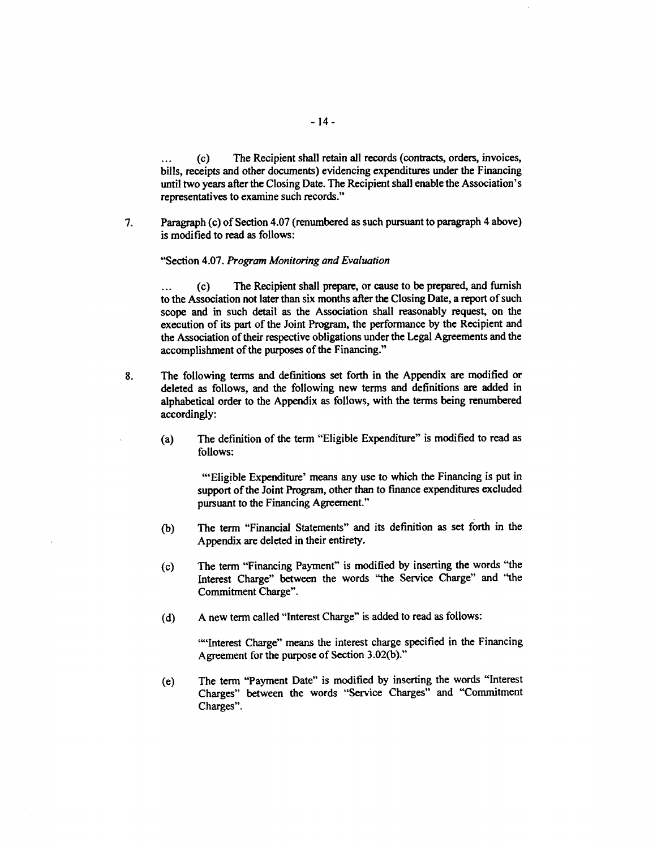(c) The Recipient shall retain all records (contracts, orders, invoices, bills, receipts and other documents) evidencing expenditures under the Financing until two years after the Closing Date. The Recipient shall enable the Association's representatives to examine such records."

**7.** Paragraph (c) of Section 4.07 (renumbered as such pursuant to paragraph 4 above) is modified to read as follows:

### "Section 4.07. *Program Monitoring and Evaluation*

**...** (c) The Recipient shall prepare, or cause to be prepared, and furnish to the Association not later **than** six months after the Closing Date, a report of such scope and in such detail as the Association shall reasonably request, on the execution of its part of the Joint Program, the performance **by** the Recipient and the Association of their respective obligations under the Legal Agreements and the accomplishment of the purposes of the Financing."

- **8.** The following terms and definitions set forth in the Appendix are modified or deleted as follows, and the following new terms and definitions are added in alphabetical order to the Appendix as follows, with the terms being renumbered accordingly:
	- (a) The definition of the term "Eligible Expenditure" is modified to read as **follows:**

'Eligible Expenditure' means any use to which the Financing is put in support of the Joint Program, other than to finance expenditures excluded pursuant to the Financing Agreement."

- **(b)** The term "Financial Statements" and its definition as set forth in the Appendix are deleted in their entirety.
- (c) The term "Financing Payment" is modified **by** inserting the words "the Interest Charge" between the words "the Service Charge" and "the Commitment Charge".
- **(d) A** new term called "Interest Charge" is added to read as follows:

'"'Interest Charge" means the interest charge specified in the Financing Agreement for the purpose of Section **3.02(b)."**

(e) The term "Payment Date" is modified **by** inserting the words "Interest Charges" between the words "Service Charges" and "Commitment Charges".